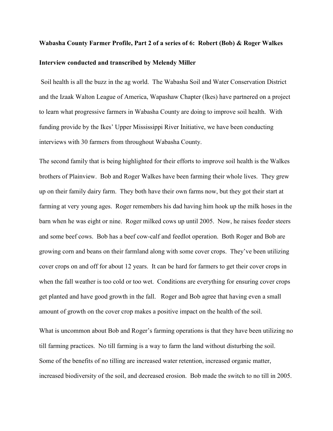## **Wabasha County Farmer Profile, Part 2 of a series of 6: Robert (Bob) & Roger Walkes Interview conducted and transcribed by Melendy Miller**

Soil health is all the buzz in the ag world. The Wabasha Soil and Water Conservation District and the Izaak Walton League of America, Wapashaw Chapter (Ikes) have partnered on a project to learn what progressive farmers in Wabasha County are doing to improve soil health. With funding provide by the Ikes' Upper Mississippi River Initiative, we have been conducting interviews with 30 farmers from throughout Wabasha County.

The second family that is being highlighted for their efforts to improve soil health is the Walkes brothers of Plainview. Bob and Roger Walkes have been farming their whole lives. They grew up on their family dairy farm. They both have their own farms now, but they got their start at farming at very young ages. Roger remembers his dad having him hook up the milk hoses in the barn when he was eight or nine. Roger milked cows up until 2005. Now, he raises feeder steers and some beef cows. Bob has a beef cow-calf and feedlot operation. Both Roger and Bob are growing corn and beans on their farmland along with some cover crops. They've been utilizing cover crops on and off for about 12 years. It can be hard for farmers to get their cover crops in when the fall weather is too cold or too wet. Conditions are everything for ensuring cover crops get planted and have good growth in the fall. Roger and Bob agree that having even a small amount of growth on the cover crop makes a positive impact on the health of the soil.

What is uncommon about Bob and Roger's farming operations is that they have been utilizing no till farming practices. No till farming is a way to farm the land without disturbing the soil. Some of the benefits of no tilling are increased water retention, increased organic matter, increased biodiversity of the soil, and decreased erosion. Bob made the switch to no till in 2005.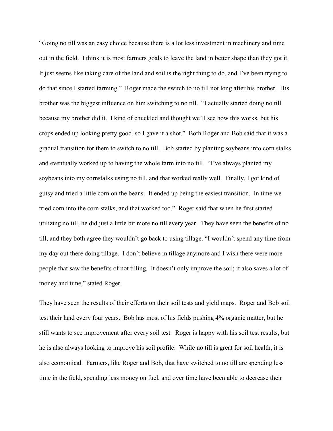"Going no till was an easy choice because there is a lot less investment in machinery and time out in the field. I think it is most farmers goals to leave the land in better shape than they got it. It just seems like taking care of the land and soil is the right thing to do, and I've been trying to do that since I started farming." Roger made the switch to no till not long after his brother. His brother was the biggest influence on him switching to no till. "I actually started doing no till because my brother did it. I kind of chuckled and thought we'll see how this works, but his crops ended up looking pretty good, so I gave it a shot." Both Roger and Bob said that it was a gradual transition for them to switch to no till. Bob started by planting soybeans into corn stalks and eventually worked up to having the whole farm into no till. "I've always planted my soybeans into my cornstalks using no till, and that worked really well. Finally, I got kind of gutsy and tried a little corn on the beans. It ended up being the easiest transition. In time we tried corn into the corn stalks, and that worked too." Roger said that when he first started utilizing no till, he did just a little bit more no till every year. They have seen the benefits of no till, and they both agree they wouldn't go back to using tillage. "I wouldn't spend any time from my day out there doing tillage. I don't believe in tillage anymore and I wish there were more people that saw the benefits of not tilling. It doesn't only improve the soil; it also saves a lot of money and time," stated Roger.

They have seen the results of their efforts on their soil tests and yield maps. Roger and Bob soil test their land every four years. Bob has most of his fields pushing 4% organic matter, but he still wants to see improvement after every soil test. Roger is happy with his soil test results, but he is also always looking to improve his soil profile. While no till is great for soil health, it is also economical. Farmers, like Roger and Bob, that have switched to no till are spending less time in the field, spending less money on fuel, and over time have been able to decrease their